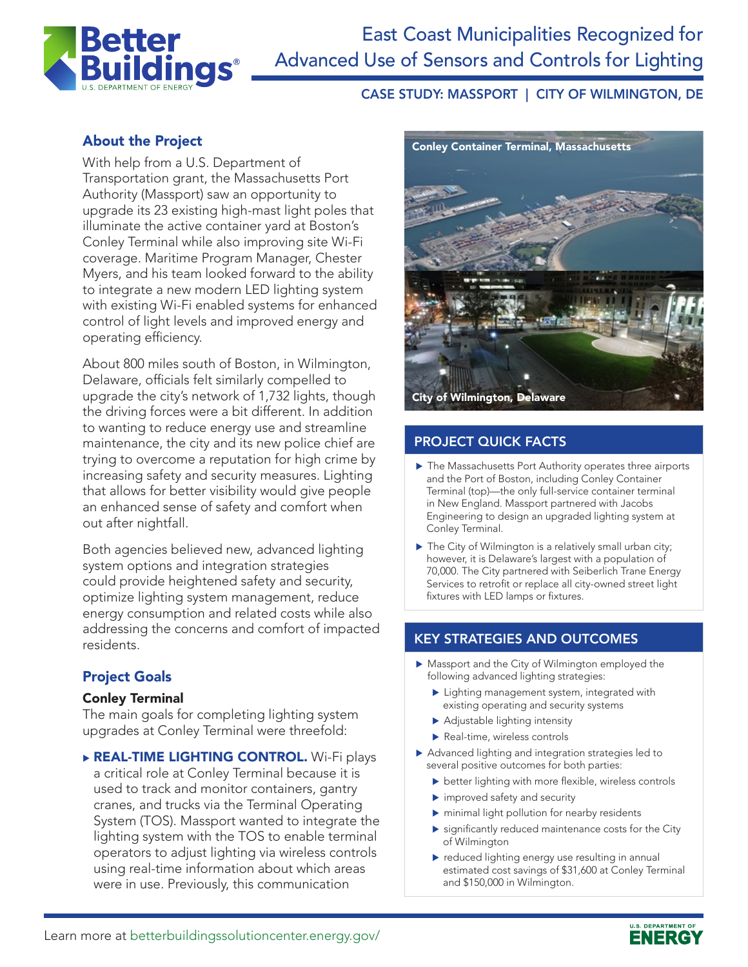

# CASE STUDY: MASSPORT | CITY OF WILMINGTON, DE

# About the Project

With help from a U.S. Department of Transportation grant, the Massachusetts Port Authority (Massport) saw an opportunity to upgrade its 23 existing high-mast light poles that illuminate the active container yard at Boston's Conley Terminal while also improving site Wi-Fi coverage. Maritime Program Manager, Chester Myers, and his team looked forward to the ability to integrate a new modern LED lighting system with existing Wi-Fi enabled systems for enhanced control of light levels and improved energy and operating efficiency.

About 800 miles south of Boston, in Wilmington, Delaware, officials felt similarly compelled to upgrade the city's network of 1,732 lights, though the driving forces were a bit different. In addition to wanting to reduce energy use and streamline maintenance, the city and its new police chief are trying to overcome a reputation for high crime by increasing safety and security measures. Lighting that allows for better visibility would give people an enhanced sense of safety and comfort when out after nightfall.

Both agencies believed new, advanced lighting system options and integration strategies could provide heightened safety and security, optimize lighting system management, reduce energy consumption and related costs while also addressing the concerns and comfort of impacted residents.

## Project Goals

#### Conley Terminal

The main goals for completing lighting system upgrades at Conley Terminal were threefold:

**REAL-TIME LIGHTING CONTROL.** Wi-Fi plays a critical role at Conley Terminal because it is used to track and monitor containers, gantry cranes, and trucks via the Terminal Operating System (TOS). Massport wanted to integrate the lighting system with the TOS to enable terminal operators to adjust lighting via wireless controls using real-time information about which areas were in use. Previously, this communication



## PROJECT QUICK FACTS

- ▶ The Massachusetts Port Authority operates three airports and the Port of Boston, including Conley Container Terminal (top)—the only full-service container terminal in New England. Massport partnered with Jacobs Engineering to design an upgraded lighting system at Conley Terminal.
- $\blacktriangleright$  The City of Wilmington is a relatively small urban city; however, it is Delaware's largest with a population of 70,000. The City partnered with Seiberlich Trane Energy Services to retrofit or replace all city-owned street light fixtures with LED lamps or fixtures.

# KEY STRATEGIES AND OUTCOMES

- $\blacktriangleright$  Massport and the City of Wilmington employed the following advanced lighting strategies:
	- $\blacktriangleright$  Lighting management system, integrated with existing operating and security systems
	- $\blacktriangleright$  Adjustable lighting intensity
	- $\blacktriangleright$  Real-time, wireless controls
- $\blacktriangleright$  Advanced lighting and integration strategies led to several positive outcomes for both parties:
	- $\blacktriangleright$  better lighting with more flexible, wireless controls
	- $\blacktriangleright$  improved safety and security
	- $\blacktriangleright$  minimal light pollution for nearby residents
	- $\blacktriangleright$  significantly reduced maintenance costs for the City of Wilmington
	- $\blacktriangleright$  reduced lighting energy use resulting in annual estimated cost savings of \$31,600 at Conley Terminal and \$150,000 in Wilmington.

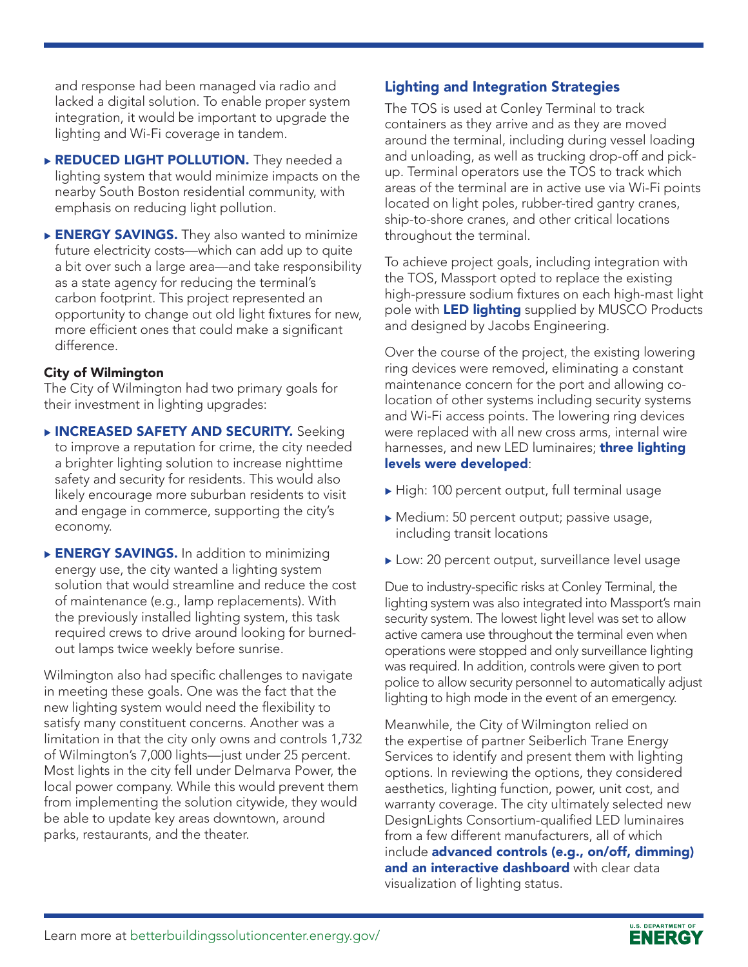and response had been managed via radio and lacked a digital solution. To enable proper system integration, it would be important to upgrade the lighting and Wi-Fi coverage in tandem.

- **REDUCED LIGHT POLLUTION.** They needed a lighting system that would minimize impacts on the nearby South Boston residential community, with emphasis on reducing light pollution.
- ENERGY SAVINGS. They also wanted to minimize future electricity costs—which can add up to quite a bit over such a large area—and take responsibility as a state agency for reducing the terminal's carbon footprint. This project represented an opportunity to change out old light fixtures for new, more efficient ones that could make a significant difference.

## City of Wilmington

The City of Wilmington had two primary goals for their investment in lighting upgrades:

- **NINCREASED SAFETY AND SECURITY.** Seeking to improve a reputation for crime, the city needed a brighter lighting solution to increase nighttime safety and security for residents. This would also likely encourage more suburban residents to visit and engage in commerce, supporting the city's economy.
- **ENERGY SAVINGS.** In addition to minimizing energy use, the city wanted a lighting system solution that would streamline and reduce the cost of maintenance (e.g., lamp replacements). With the previously installed lighting system, this task required crews to drive around looking for burnedout lamps twice weekly before sunrise.

Wilmington also had specific challenges to navigate in meeting these goals. One was the fact that the new lighting system would need the flexibility to satisfy many constituent concerns. Another was a limitation in that the city only owns and controls 1,732 of Wilmington's 7,000 lights—just under 25 percent. Most lights in the city fell under Delmarva Power, the local power company. While this would prevent them from implementing the solution citywide, they would be able to update key areas downtown, around parks, restaurants, and the theater.

# Lighting and Integration Strategies

The TOS is used at Conley Terminal to track containers as they arrive and as they are moved around the terminal, including during vessel loading and unloading, as well as trucking drop-off and pickup. Terminal operators use the TOS to track which areas of the terminal are in active use via Wi-Fi points located on light poles, rubber-tired gantry cranes, ship-to-shore cranes, and other critical locations throughout the terminal.

To achieve project goals, including integration with the TOS, Massport opted to replace the existing high-pressure sodium fixtures on each high-mast light pole with **LED lighting** supplied by MUSCO Products and designed by Jacobs Engineering.

Over the course of the project, the existing lowering ring devices were removed, eliminating a constant maintenance concern for the port and allowing colocation of other systems including security systems and Wi-Fi access points. The lowering ring devices were replaced with all new cross arms, internal wire harnesses, and new LED luminaires; **three lighting** levels were developed:

- $\blacktriangleright$  High: 100 percent output, full terminal usage
- $\blacktriangleright$  Medium: 50 percent output; passive usage, including transit locations
- ▶ Low: 20 percent output, surveillance level usage

Due to industry-specific risks at Conley Terminal, the lighting system was also integrated into Massport's main security system. The lowest light level was set to allow active camera use throughout the terminal even when operations were stopped and only surveillance lighting was required. In addition, controls were given to port police to allow security personnel to automatically adjust lighting to high mode in the event of an emergency.

Meanwhile, the City of Wilmington relied on the expertise of partner Seiberlich Trane Energy Services to identify and present them with lighting options. In reviewing the options, they considered aesthetics, lighting function, power, unit cost, and warranty coverage. The city ultimately selected new DesignLights Consortium-qualified LED luminaires from a few different manufacturers, all of which include advanced controls (e.g., on/off, dimming) and an interactive dashboard with clear data visualization of lighting status.

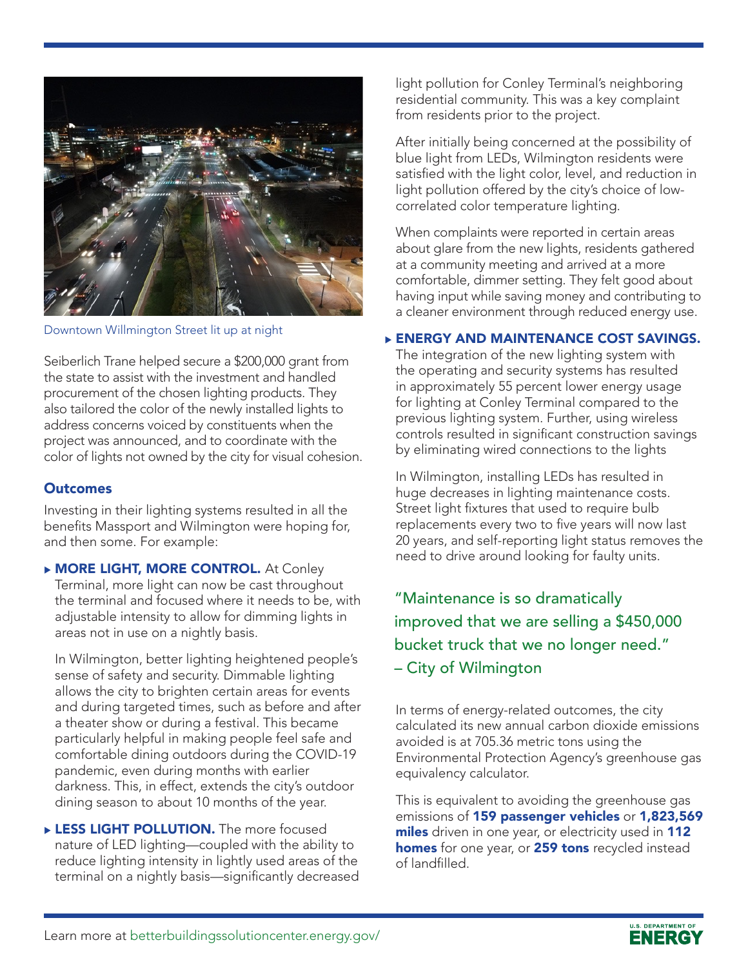

Downtown Willmington Street lit up at night

Seiberlich Trane helped secure a \$200,000 grant from the state to assist with the investment and handled procurement of the chosen lighting products. They also tailored the color of the newly installed lights to address concerns voiced by constituents when the project was announced, and to coordinate with the color of lights not owned by the city for visual cohesion.

### **Outcomes**

Investing in their lighting systems resulted in all the benefits Massport and Wilmington were hoping for, and then some. For example:

**MORE LIGHT, MORE CONTROL.** At Conley Terminal, more light can now be cast throughout the terminal and focused where it needs to be, with adjustable intensity to allow for dimming lights in areas not in use on a nightly basis.

In Wilmington, better lighting heightened people's sense of safety and security. Dimmable lighting allows the city to brighten certain areas for events and during targeted times, such as before and after a theater show or during a festival. This became particularly helpful in making people feel safe and comfortable dining outdoors during the COVID-19 pandemic, even during months with earlier darkness. This, in effect, extends the city's outdoor dining season to about 10 months of the year.

**LESS LIGHT POLLUTION.** The more focused nature of LED lighting—coupled with the ability to reduce lighting intensity in lightly used areas of the terminal on a nightly basis—significantly decreased light pollution for Conley Terminal's neighboring residential community. This was a key complaint from residents prior to the project.

After initially being concerned at the possibility of blue light from LEDs, Wilmington residents were satisfied with the light color, level, and reduction in light pollution offered by the city's choice of lowcorrelated color temperature lighting.

When complaints were reported in certain areas about glare from the new lights, residents gathered at a community meeting and arrived at a more comfortable, dimmer setting. They felt good about having input while saving money and contributing to a cleaner environment through reduced energy use.

### **ENERGY AND MAINTENANCE COST SAVINGS.**

The integration of the new lighting system with the operating and security systems has resulted in approximately 55 percent lower energy usage for lighting at Conley Terminal compared to the previous lighting system. Further, using wireless controls resulted in significant construction savings by eliminating wired connections to the lights

In Wilmington, installing LEDs has resulted in huge decreases in lighting maintenance costs. Street light fixtures that used to require bulb replacements every two to five years will now last 20 years, and self-reporting light status removes the need to drive around looking for faulty units.

"Maintenance is so dramatically improved that we are selling a \$450,000 bucket truck that we no longer need." – City of Wilmington

In terms of energy-related outcomes, the city calculated its new annual carbon dioxide emissions avoided is at 705.36 metric tons using the Environmental Protection Agency's greenhouse gas equivalency calculator.

This is equivalent to avoiding the greenhouse gas emissions of 159 passenger vehicles or 1,823,569 miles driven in one year, or electricity used in 112 homes for one year, or 259 tons recycled instead of landfilled.